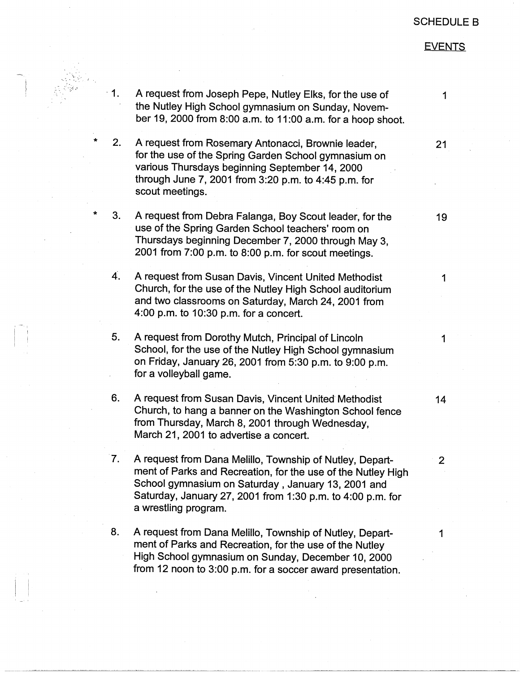## SCHEDULE B

## **EVENTS**

 $-1.$  $2.$ \* 3.  $\overline{4}$ .  $\overline{\phantom{a}}$  5. 6. 7. 8. A request from Joseph Pepe, Nutley Elks, for the use of the Nutley High School gymnasium on Sunday, November 19, 2000 from 8:00 a.m. to 11 :00 a.m. for a hoop shoot. A request from Rosemary Antonacci, Brownie leader, for the use of the Spring Garden School gymnasium on various Thursdays beginning September 14, 2000 through June 7, 2001 from 3:20 p.m. to 4:45 p.m. for scout meetings. A request from Debra Falanga, Boy Scout leader, for the use of the Spring Garden School teachers' room on Thursdays beginning December 7, 2000 through May 3, 2001 from 7:00 p.m. to 8:00 p.m. for scout meetings. A request from Susan Davis, Vincent United Methodist Church, for the use of the Nutley High School auditorium and two classrooms on Saturday, March 24, 2001 from 4:00 p.m. to  $10:30$  p.m. for a concert. A request from Dorothy Mutch, Principal of Lincoln School, for the use of the Nutley High School gymnasium on Friday, January 26, 2001 from 5:30 p.m. to 9:00 p.m. for a volleyball game. A request from Susan Davis, Vincent United Methodist Church, to hang a banner on the Washington School fence from Thursday, March 8, 2001 through Wednesday, March 21, 2001 to advertise a concert. A request from Dana Melillo, Township of Nutley, Department of Parks and Recreation, for the use of the Nutley High School gymnasium on Saturday, January 13, 2001 and Saturday, January 27, 2001 from 1 :30 p.m. to 4:00 p.m. for a wrestling program. A request from Dana Melillo, Township of Nutley, Department of Parks and Recreation, for the use of the Nutley

**21** 

1

19

1

1

**14** 

2

1

High School gymnasium on Sunday, December 10, 2000 from 12 noon to 3:00 p.m. for a soccer award presentation.

- '\··.· .. .... -. '-.·: - (.

- <sup>I</sup>

 $\frac{1}{2}$ 

 $\vert \ \ \vert$